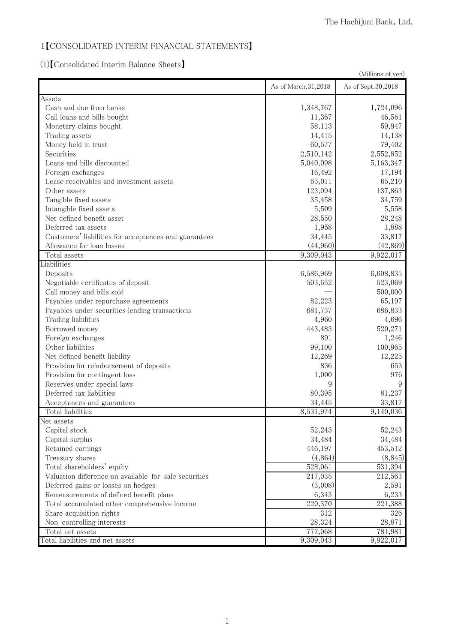## 1 [CONSOLIDATED INTERIM FINANCIAL STATEMENTS]

## 㻔㻝㻕䛆㻯㼛㼚㼟㼛㼘㼕㼐㼍㼠㼑㼐㻌㻵㼚㼠㼑㼞㼕㼙㻌㻮㼍㼘㼍㼚㼏㼑㻌㻿㼔㼑㼑㼠㼟䛇

| (Millions of yen)                                     |                     |                    |
|-------------------------------------------------------|---------------------|--------------------|
|                                                       | As of March.31,2018 | As of Sept.30,2018 |
| Assets                                                |                     |                    |
| Cash and due from banks                               | 1,348,767           | 1,724,096          |
| Call loans and bills bought                           | 11,367              | 46,561             |
| Monetary claims bought                                | 58,113              | 59,947             |
| Trading assets                                        | 14,415              | 14,138             |
| Money held in trust                                   | 60,577              | 79,402             |
| Securities                                            | 2,510,142           | 2,552,852          |
| Loans and bills discounted                            | 5,040,098           | 5,163,347          |
| Foreign exchanges                                     | 16,492              | 17,194             |
| Lease receivables and investment assets               | 65,011              | 65,210             |
| Other assets                                          | 123,094             | 137,863            |
| Tangible fixed assets                                 | 35,458              | 34,759             |
| Intangible fixed assets                               | 5,509               | 5,558              |
| Net defined benefit asset                             | 28,550              | 28,248             |
| Deferred tax assets                                   | 1,958               | 1,888              |
| Customers' liabilities for acceptances and guarantees | 34,445              | 33,817             |
| Allowance for loan losses                             | (44,960)            | (42, 869)          |
| Total assets                                          | 9,309,043           | 9,922,017          |
| Liabilities                                           |                     |                    |
| Deposits                                              | 6,586,969           | 6,608,835          |
| Negotiable certificates of deposit                    | 503,652             | 523,069            |
| Call money and bills sold                             |                     | 500,000            |
| Payables under repurchase agreements                  | 82,223              | 65,197             |
| Payables under securities lending transactions        | 681,737             | 686,833            |
| Trading liabilities                                   | 4,960               | 4,696              |
| Borrowed money                                        | 443,483             | 520,271            |
| Foreign exchanges                                     | 891                 | 1,246              |
| Other liabilities                                     | 99,100              | 100,965            |
| Net defined benefit liability                         | 12,269              | 12,225             |
| Provision for reimbursement of deposits               | 836                 | 653                |
| Provision for contingent loss                         | 1,000               | 976                |
| Reserves under special laws                           | 9                   | 9                  |
| Deferred tax liabilities                              | 80,395              | 81,237             |
| Acceptances and guarantees                            | 34,445              | 33,817             |
| Total liabilities                                     | 8,531,974           | 9,140,036          |
| Net assets                                            |                     |                    |
| Capital stock                                         | 52,243              | 52,243             |
| Capital surplus                                       | 34,484              | 34,484             |
| Retained earnings                                     | 446,197             | 453,512            |
| Treasury shares                                       | (4,864)             | (8, 845)           |
| Total shareholders' equity                            | 528,061             | 531,394            |
| Valuation difference on available-for-sale securities | 217,035             | 212,563            |
| Deferred gains or losses on hedges                    | (3,008)             | 2,591              |
| Remeasurements of defined benefit plans               | 6,343               | 6,233              |
| Total accumulated other comprehensive income          | 220,370             | 221,388            |
| Share acquisition rights                              | 312                 | 326                |
| Non-controlling interests                             | 28,324              | 28,871             |
| Total net assets                                      | 777,068             | 781,981            |
| Total liabilities and net assets                      | 9,309,043           | 9,922,017          |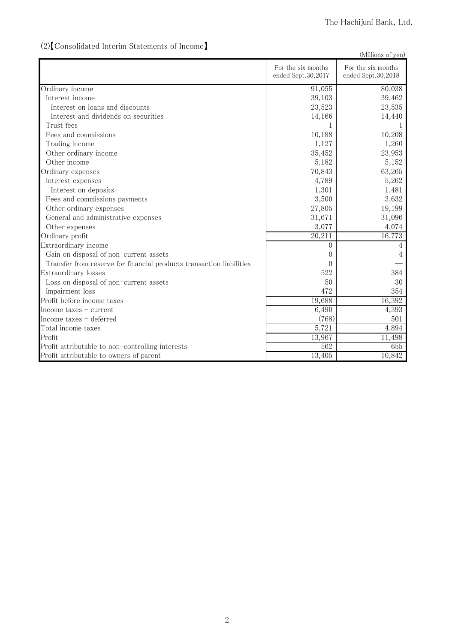#### (Millions of yen) For the six months ended Sept.30,2017 For the six months ended Sept.30,2018 Ordinary income 80,038 Interest income 39,462 Interest on loans and discounts  $\qquad \qquad \qquad$  23,535 Interest and dividends on securities and the set of the set of the set of the set of the set of the set of the set of the set of the set of the set of the set of the set of the set of the set of the set of the set of the s Trust fees the contract of the contract of the contract of the contract of the contract of the contract of the contract of the contract of the contract of the contract of the contract of the contract of the contract of the Fees and commissions  $\qquad \qquad \qquad$  10,188  $\qquad \qquad$  10,208 Trading income 1,260 Other ordinary income  $\qquad \qquad$  23,953 Other income 5,152 Ordinary expenses 6 63,265 Interest expenses 6 6 6,262 Interest on deposits 1,481 Fees and commissions payments  $\frac{3,632}{2}$ Other ordinary expenses  $\qquad \qquad \qquad 27,805$   $\qquad \qquad 19,199$ General and administrative expenses and and administrative expenses and a structure of the structure of the structure of the structure of the structure of the structure of the structure of the structure of the structure of Other expenses and the state of the state of the state of the state of the state of the state of the state of the state of the state of the state of the state of the state of the state of the state of the state of the stat Ordinary profit 16,773 㻱㼤㼠㼞㼍㼛㼞㼐㼕㼚㼍㼞㼥㻌㼕㼚㼏㼛㼙㼑 㻜 㻠 Gain on disposal of non-current assets 4 㼀㼞㼍㼚㼟㼒㼑㼞㻌㼒㼞㼛㼙㻌㼞㼑㼟㼑㼞㼢㼑㻌㼒㼛㼞㻌㼒㼕㼚㼍㼚㼏㼕㼍㼘㻌㼜㼞㼛㼐㼡㼏㼠㼟㻌㼠㼞㼍㼚㼟㼍㼏㼠㼕㼛㼚㻌㼘㼕㼍㼎㼕㼘㼕㼠㼕㼑㼟 㻜 䇷㻌 Extraordinary losses 384 Loss on disposal of non-current assets 30 Impairment loss 354 Profit before income taxes and the set of the set of the set of the set of the set of the set of the set of the set of the set of the set of the set of the set of the set of the set of the set of the set of the set of the Income taxes – current 4,393 Income taxes – deferred 501 Total income taxes  $\qquad \qquad 5,721$   $\qquad \qquad 4,894$ Profit 13,967 11,498 Profit attributable to non-controlling interests  $\qquad \qquad \qquad$  562 㻼㼞㼛㼒㼕㼠㻌㼍㼠㼠㼞㼕㼎㼡㼠㼍㼎㼘㼑㻌㼠㼛㻌㼛㼣㼚㼑㼞㼟㻌㼛㼒㻌㼜㼍㼞㼑㼚㼠 㻝㻟㻘㻠㻜㻡 㻝㻜㻘㻤㻠㻞

#### (2) [Consolidated Interim Statements of Income]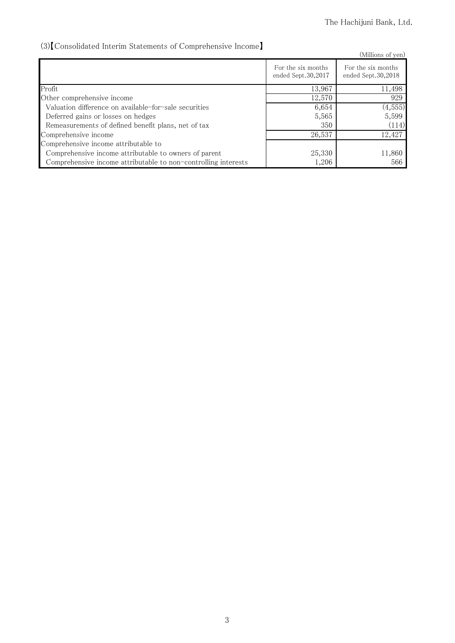## (3) [Consolidated Interim Statements of Comprehensive Income]

| volvonsondated meeting platements of comprenditione meeting    |                                          | (Millions of yen)                        |
|----------------------------------------------------------------|------------------------------------------|------------------------------------------|
|                                                                | For the six months<br>ended Sept.30,2017 | For the six months<br>ended Sept.30,2018 |
| Profit                                                         | 13,967                                   | 11,498                                   |
| Other comprehensive income                                     | 12,570                                   | 929                                      |
| Valuation difference on available-for-sale securities          | 6,654                                    | (4, 555)                                 |
| Deferred gains or losses on hedges                             | 5,565                                    | 5,599                                    |
| Remeasurements of defined benefit plans, net of tax            | 350                                      | (114)                                    |
| Comprehensive income                                           | 26,537                                   | 12,427                                   |
| Comprehensive income attributable to                           |                                          |                                          |
| Comprehensive income attributable to owners of parent          | 25,330                                   | 11,860                                   |
| Comprehensive income attributable to non-controlling interests | 1,206                                    | 566                                      |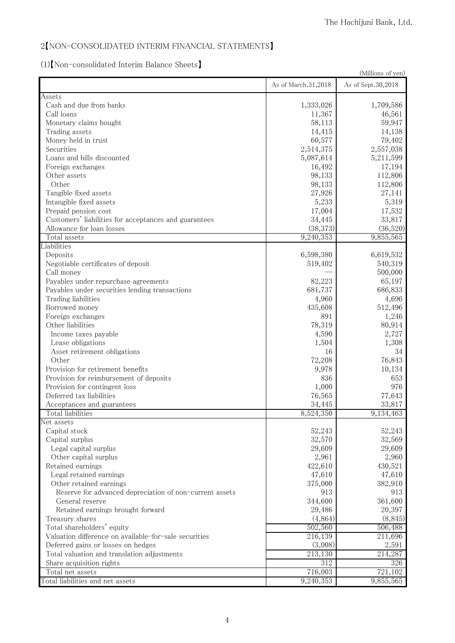#### 2 [NON-CONSOLIDATED INTERIM FINANCIAL STATEMENTS]

# 㻔㻝㻕䛆㻺㼛㼚㻙㼏㼛㼚㼟㼛㼘㼕㼐㼍㼠㼑㼐㻌㻵㼚㼠㼑㼞㼕㼙㻌㻮㼍㼘㼍㼚㼏㼑㻌㻿㼔㼑㼑㼠㼟䛇

|                                                         | TIT POIL CONSONANCE MICHIN DAMNICE DITCUS<br>(Millions of yen) |                    |  |
|---------------------------------------------------------|----------------------------------------------------------------|--------------------|--|
|                                                         | As of March.31,2018                                            | As of Sept.30,2018 |  |
| Assets                                                  |                                                                |                    |  |
| Cash and due from banks                                 | 1,333,026                                                      | 1,709,586          |  |
| Call loans                                              | 11,367                                                         | 46,561             |  |
| Monetary claims bought                                  | 58,113                                                         | 59,947             |  |
| Trading assets                                          | 14,415                                                         | 14,138             |  |
| Money held in trust                                     | 60,577                                                         | 79,402             |  |
| Securities                                              | 2,514,375                                                      | 2,557,038          |  |
| Loans and bills discounted                              | 5,087,614                                                      | 5,211,599          |  |
| Foreign exchanges                                       | 16,492                                                         | 17,194             |  |
| Other assets                                            | 98,133                                                         | 112,806            |  |
| Other                                                   | 98,133                                                         | 112,806            |  |
| Tangible fixed assets                                   | 27,926                                                         | 27,141             |  |
| Intangible fixed assets                                 | 5,233                                                          | 5,319              |  |
| Prepaid pension cost                                    | 17,004                                                         | 17,532             |  |
| Customers' liabilities for acceptances and guarantees   | 34,445                                                         | 33,817             |  |
| Allowance for loan losses                               | (38, 373)                                                      | (36,520)           |  |
| Total assets                                            | 9,240,353                                                      | 9,855,565          |  |
| Liabilities                                             |                                                                |                    |  |
| Deposits                                                | 6,598,380                                                      | 6,619,532          |  |
| Negotiable certificates of deposit                      | 519,402                                                        | 540,319            |  |
| Call money                                              |                                                                | 500,000            |  |
| Payables under repurchase agreements                    | 82,223                                                         | 65,197             |  |
| Payables under securities lending transactions          | 681,737                                                        | 686,833            |  |
| Trading liabilities                                     | 4,960                                                          | 4,696              |  |
| Borrowed money                                          | 435,608                                                        | 512,496            |  |
| Foreign exchanges                                       | 891                                                            | 1,246              |  |
| Other liabilities                                       | 78,319                                                         | 80,914             |  |
| Income taxes payable                                    | 4,590                                                          | 2,727              |  |
| Lease obligations                                       | 1,504                                                          | 1,308              |  |
| Asset retirement obligations                            | 16                                                             | 34                 |  |
| Other                                                   | 72,208                                                         | 76,843             |  |
| Provision for retirement benefits                       | 9,978                                                          | 10,134             |  |
| Provision for reimbursement of deposits                 | 836                                                            | 653                |  |
| Provision for contingent loss                           | 1,000                                                          | 976                |  |
| Deferred tax liabilities                                | 76,565                                                         | 77,643             |  |
| Acceptances and guarantees                              | 34,445                                                         | 33,817             |  |
| Total liabilities                                       | 8,524,350                                                      | 9,134,463          |  |
| Net assets                                              |                                                                |                    |  |
| Capital stock                                           | 52,243                                                         | 52,243             |  |
| Capital surplus                                         | 32,570                                                         | 32,569             |  |
| Legal capital surplus                                   | 29,609                                                         | 29,609             |  |
| Other capital surplus                                   | 2,961                                                          | 2,960              |  |
| Retained earnings                                       | 422,610                                                        | 430,521            |  |
| Legal retained earnings                                 | 47,610                                                         | 47,610             |  |
| Other retained earnings                                 | 375,000                                                        | 382,910            |  |
| Reserve for advanced depreciation of non-current assets | 913                                                            | 913                |  |
| General reserve                                         | 344,600                                                        | 361,600            |  |
| Retained earnings brought forward                       | 29,486                                                         | 20,397             |  |
| Treasury shares                                         | (4,864)                                                        | (8, 845)           |  |
| Total shareholders' equity                              | 502,560                                                        | 506,488            |  |
| Valuation difference on available-for-sale securities   | 216,139                                                        | 211,696            |  |
| Deferred gains or losses on hedges                      | (3,008)                                                        | 2,591              |  |
| Total valuation and translation adjustments             | 213,130                                                        | 214,287            |  |
| Share acquisition rights                                | 312                                                            | 326                |  |
| Total net assets                                        | 716,003                                                        | 721,102            |  |
|                                                         |                                                                |                    |  |
| Total liabilities and net assets                        | 9,240,353                                                      | 9,855,565          |  |